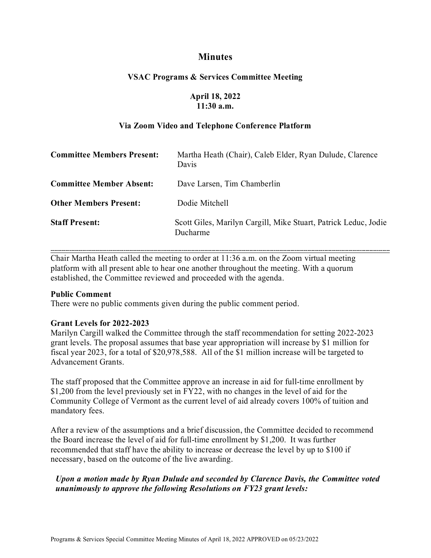# **Minutes**

## **VSAC Programs & Services Committee Meeting**

## **April 18, 2022 11:30 a.m.**

## **Via Zoom Video and Telephone Conference Platform**

| <b>Committee Members Present:</b> | Martha Heath (Chair), Caleb Elder, Ryan Dulude, Clarence<br>Davis           |
|-----------------------------------|-----------------------------------------------------------------------------|
| <b>Committee Member Absent:</b>   | Dave Larsen, Tim Chamberlin                                                 |
| <b>Other Members Present:</b>     | Dodie Mitchell                                                              |
| <b>Staff Present:</b>             | Scott Giles, Marilyn Cargill, Mike Stuart, Patrick Leduc, Jodie<br>Ducharme |

**-------------------------------------------------------------------------------------------------------------------------------------------------------------------------------------**  Chair Martha Heath called the meeting to order at 11:36 a.m. on the Zoom virtual meeting platform with all present able to hear one another throughout the meeting. With a quorum established, the Committee reviewed and proceeded with the agenda.

#### **Public Comment**

There were no public comments given during the public comment period.

### **Grant Levels for 2022-2023**

Marilyn Cargill walked the Committee through the staff recommendation for setting 2022-2023 grant levels. The proposal assumes that base year appropriation will increase by \$1 million for fiscal year 2023, for a total of \$20,978,588. All of the \$1 million increase will be targeted to Advancement Grants.

The staff proposed that the Committee approve an increase in aid for full-time enrollment by \$1,200 from the level previously set in FY22, with no changes in the level of aid for the Community College of Vermont as the current level of aid already covers 100% of tuition and mandatory fees.

After a review of the assumptions and a brief discussion, the Committee decided to recommend the Board increase the level of aid for full-time enrollment by \$1,200. It was further recommended that staff have the ability to increase or decrease the level by up to \$100 if necessary, based on the outcome of the live awarding.

## *Upon a motion made by Ryan Dulude and seconded by Clarence Davis, the Committee voted unanimously to approve the following Resolutions on FY23 grant levels:*